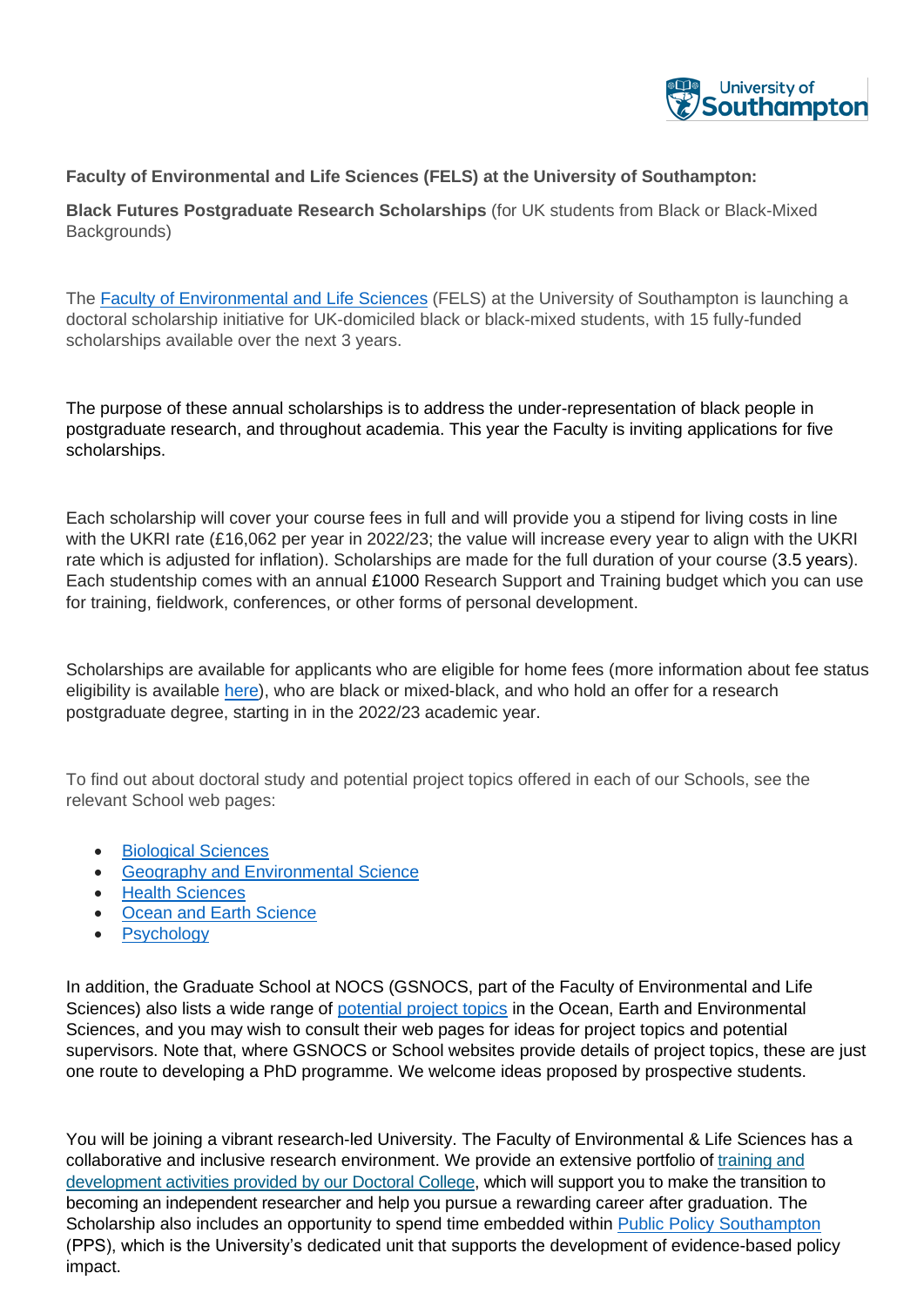

## **Faculty of Environmental and Life Sciences (FELS) at the University of Southampton:**

**Black Futures Postgraduate Research Scholarships** (for UK students from Black or Black-Mixed Backgrounds)

The [Faculty of Environmental](https://www.southampton.ac.uk/about/departments/faculties/environmental-and-life-sciences.page) and Life Sciences (FELS) at the University of Southampton is launching a doctoral scholarship initiative for UK-domiciled black or black-mixed students, with 15 fully-funded scholarships available over the next 3 years.

The purpose of these annual scholarships is to address the under-representation of black people in postgraduate research, and throughout academia. This year the Faculty is inviting applications for five scholarships.

Each scholarship will cover your course fees in full and will provide you a stipend for living costs in line with the UKRI rate (£16,062 per year in 2022/23; the value will increase every year to align with the UKRI rate which is adjusted for inflation). Scholarships are made for the full duration of your course (3.5 years). Each studentship comes with an annual £1000 Research Support and Training budget which you can use for training, fieldwork, conferences, or other forms of personal development.

Scholarships are available for applicants who are eligible for home fees (more information about fee status eligibility is available [here\)](https://www.southampton.ac.uk/courses/fees/status.page), who are black or mixed-black, and who hold an offer for a research postgraduate degree, starting in in the 2022/23 academic year.

To find out about doctoral study and potential project topics offered in each of our Schools, see the relevant School web pages:

- [Biological Sciences](https://www.southampton.ac.uk/biosci/postgraduate/research_degrees/courses.page)
- [Geography and Environmental Science](https://www.southampton.ac.uk/geography/postgraduate/research_degrees.page)
- [Health Sciences](https://www.southampton.ac.uk/healthsciences/postgraduate/research_degrees/degrees/mphil_phd_research.page)
- [Ocean and Earth Science](https://www.southampton.ac.uk/oes/postgraduate/research_degrees.page)
- [Psychology](https://www.southampton.ac.uk/psychology/postgraduate/research_degrees/courses.page)

In addition, the Graduate School at NOCS (GSNOCS, part of the Faculty of Environmental and Life Sciences) also lists a wide range of [potential project topics](https://noc.ac.uk/gsnocs/projects) in the Ocean, Earth and Environmental Sciences, and you may wish to consult their web pages for ideas for project topics and potential supervisors. Note that, where GSNOCS or School websites provide details of project topics, these are just one route to developing a PhD programme. We welcome ideas proposed by prospective students.

You will be joining a vibrant research-led University. The Faculty of Environmental & Life Sciences has a collaborative and inclusive research environment. We provide an extensive portfolio of [training and](https://www.southampton.ac.uk/doctoral-college/index.page)  [development activities provided by our Doctoral College,](https://www.southampton.ac.uk/doctoral-college/index.page) which will support you to make the transition to becoming an independent researcher and help you pursue a rewarding career after graduation. The Scholarship also includes an opportunity to spend time embedded within Public Policy [Southampton](https://www.southampton.ac.uk/publicpolicy/index.page) (PPS), which is the University's dedicated unit that supports the development of evidence-based policy impact.